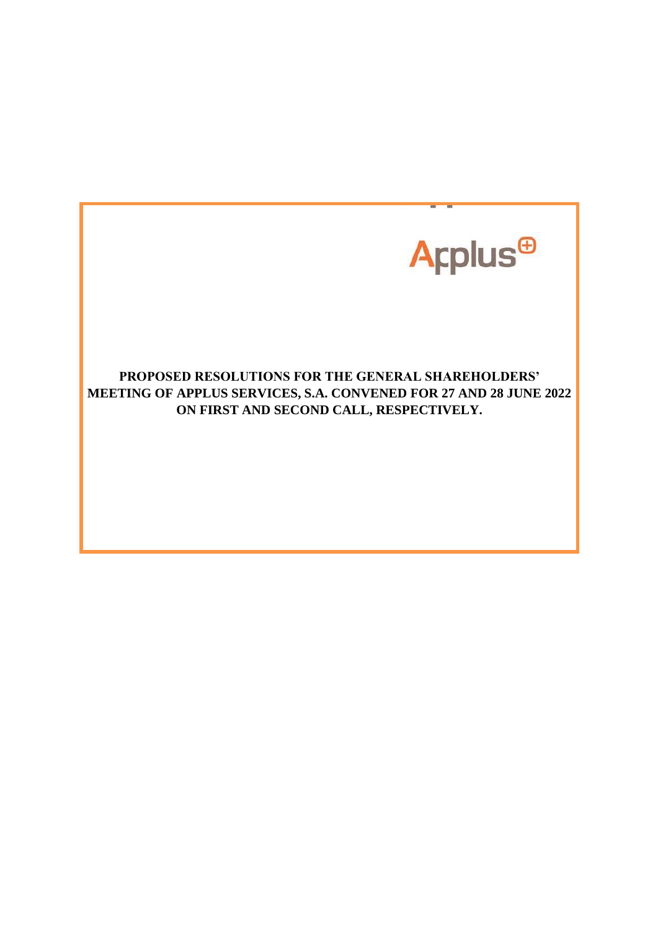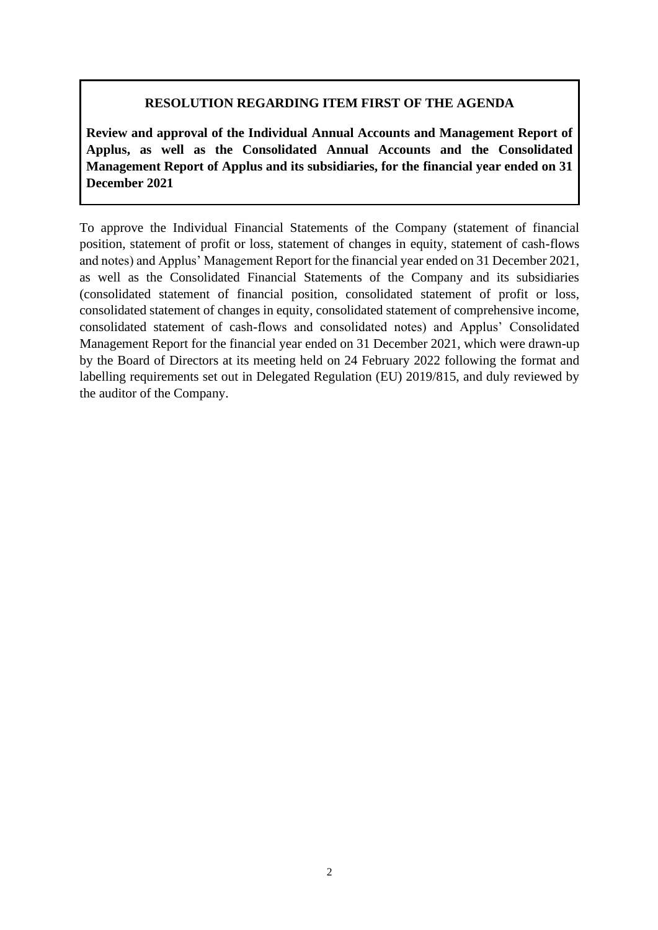### **RESOLUTION REGARDING ITEM FIRST OF THE AGENDA**

**Review and approval of the Individual Annual Accounts and Management Report of Applus, as well as the Consolidated Annual Accounts and the Consolidated Management Report of Applus and its subsidiaries, for the financial year ended on 31 December 2021**

To approve the Individual Financial Statements of the Company (statement of financial position, statement of profit or loss, statement of changes in equity, statement of cash-flows and notes) and Applus' Management Report for the financial year ended on 31 December 2021, as well as the Consolidated Financial Statements of the Company and its subsidiaries (consolidated statement of financial position, consolidated statement of profit or loss, consolidated statement of changes in equity, consolidated statement of comprehensive income, consolidated statement of cash-flows and consolidated notes) and Applus' Consolidated Management Report for the financial year ended on 31 December 2021, which were drawn-up by the Board of Directors at its meeting held on 24 February 2022 following the format and labelling requirements set out in Delegated Regulation (EU) 2019/815, and duly reviewed by the auditor of the Company.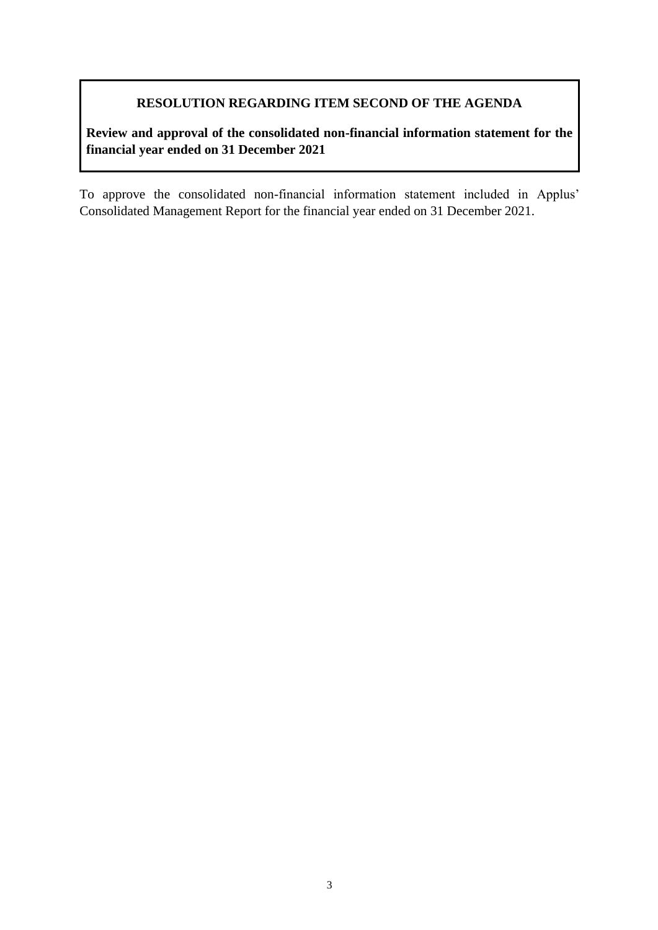### **RESOLUTION REGARDING ITEM SECOND OF THE AGENDA**

**Review and approval of the consolidated non-financial information statement for the financial year ended on 31 December 2021**

To approve the consolidated non-financial information statement included in Applus' Consolidated Management Report for the financial year ended on 31 December 2021.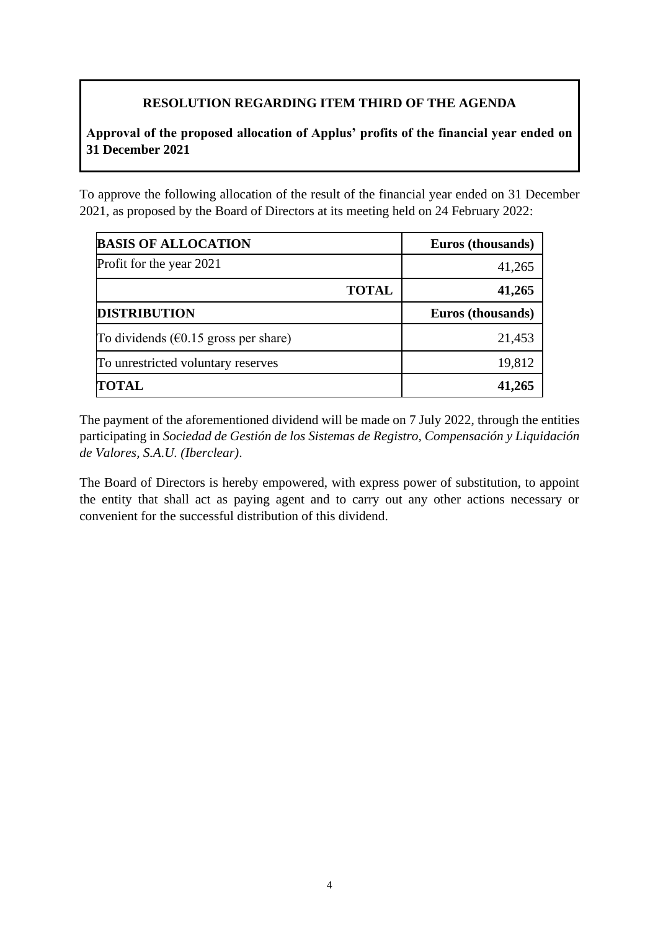# **RESOLUTION REGARDING ITEM THIRD OF THE AGENDA**

**Approval of the proposed allocation of Applus' profits of the financial year ended on 31 December 2021**

To approve the following allocation of the result of the financial year ended on 31 December 2021, as proposed by the Board of Directors at its meeting held on 24 February 2022:

| <b>BASIS OF ALLOCATION</b>                      |              | Euros (thousands) |
|-------------------------------------------------|--------------|-------------------|
| Profit for the year 2021                        |              | 41,265            |
|                                                 | <b>TOTAL</b> | 41,265            |
| <b>DISTRIBUTION</b>                             |              | Euros (thousands) |
| To dividends ( $\epsilon$ 0.15 gross per share) |              | 21,453            |
| To unrestricted voluntary reserves              |              | 19,812            |
| <b>TOTAL</b>                                    |              | 41,265            |

The payment of the aforementioned dividend will be made on 7 July 2022, through the entities participating in *Sociedad de Gestión de los Sistemas de Registro, Compensación y Liquidación de Valores, S.A.U. (Iberclear)*.

The Board of Directors is hereby empowered, with express power of substitution, to appoint the entity that shall act as paying agent and to carry out any other actions necessary or convenient for the successful distribution of this dividend.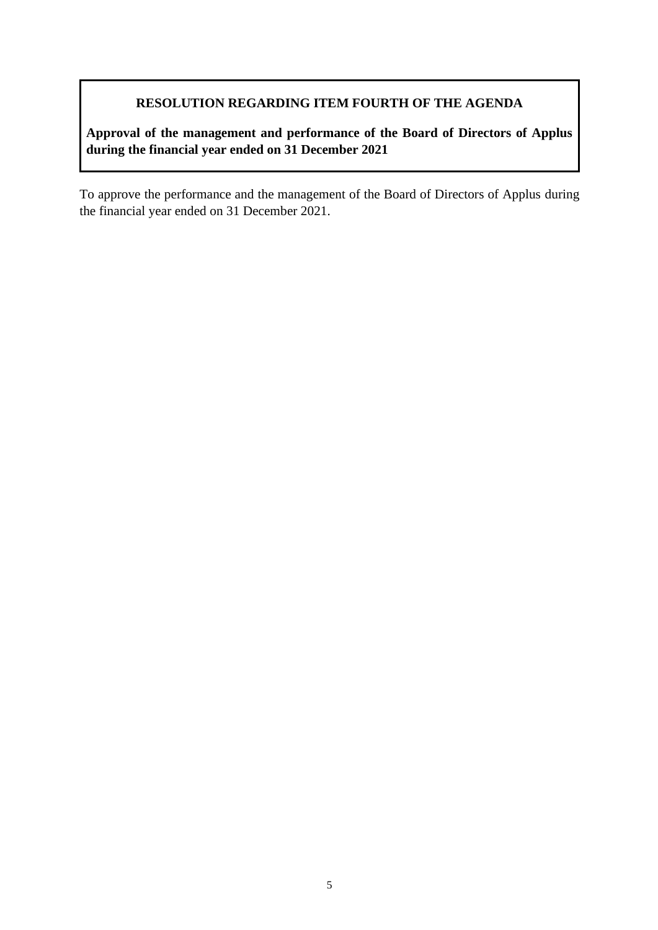## **RESOLUTION REGARDING ITEM FOURTH OF THE AGENDA**

**Approval of the management and performance of the Board of Directors of Applus during the financial year ended on 31 December 2021**

To approve the performance and the management of the Board of Directors of Applus during the financial year ended on 31 December 2021.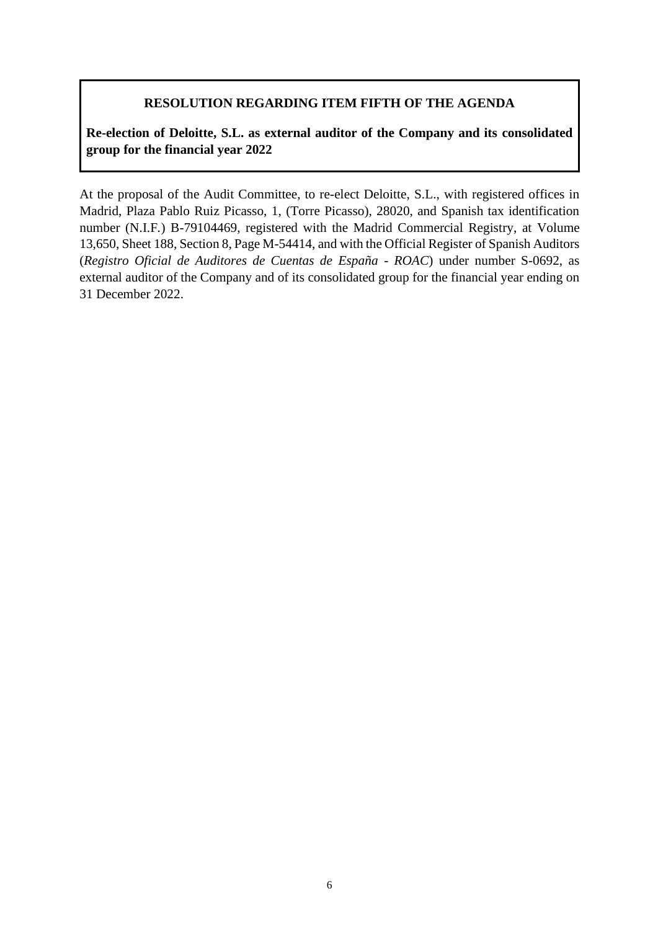### **RESOLUTION REGARDING ITEM FIFTH OF THE AGENDA**

**Re-election of Deloitte, S.L. as external auditor of the Company and its consolidated group for the financial year 2022**

At the proposal of the Audit Committee, to re-elect Deloitte, S.L., with registered offices in Madrid, Plaza Pablo Ruiz Picasso, 1, (Torre Picasso), 28020, and Spanish tax identification number (N.I.F*.*) B-79104469, registered with the Madrid Commercial Registry, at Volume 13,650, Sheet 188, Section 8, Page M-54414, and with the Official Register of Spanish Auditors (*Registro Oficial de Auditores de Cuentas de España - ROAC*) under number S-0692, as external auditor of the Company and of its consolidated group for the financial year ending on 31 December 2022.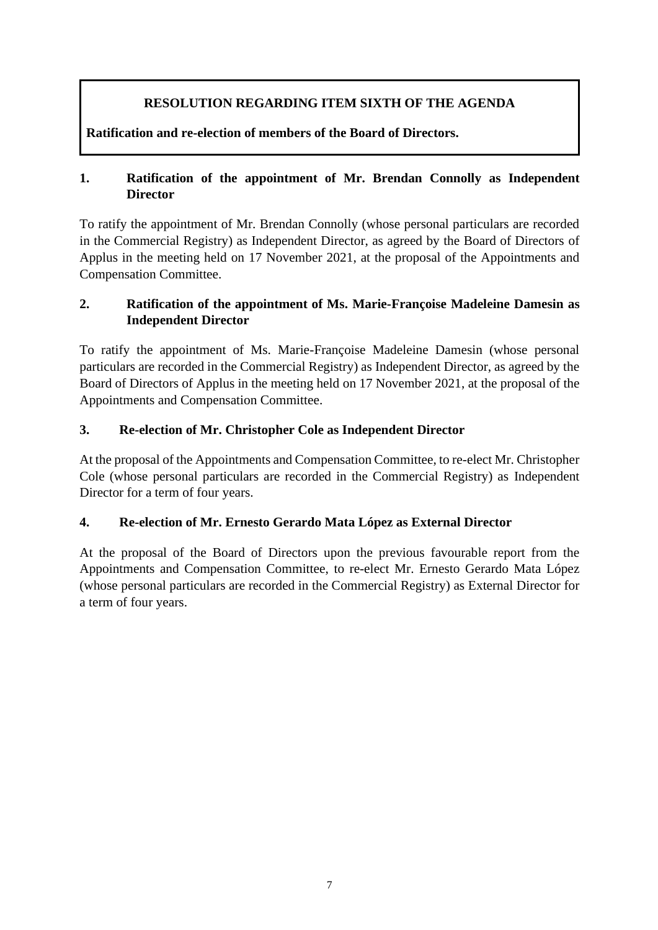# **RESOLUTION REGARDING ITEM SIXTH OF THE AGENDA**

**Ratification and re-election of members of the Board of Directors.**

### **1. Ratification of the appointment of Mr. Brendan Connolly as Independent Director**

To ratify the appointment of Mr. Brendan Connolly (whose personal particulars are recorded in the Commercial Registry) as Independent Director, as agreed by the Board of Directors of Applus in the meeting held on 17 November 2021, at the proposal of the Appointments and Compensation Committee.

### **2. Ratification of the appointment of Ms. Marie-Françoise Madeleine Damesin as Independent Director**

To ratify the appointment of Ms. Marie-Françoise Madeleine Damesin (whose personal particulars are recorded in the Commercial Registry) as Independent Director, as agreed by the Board of Directors of Applus in the meeting held on 17 November 2021, at the proposal of the Appointments and Compensation Committee.

### **3. Re-election of Mr. Christopher Cole as Independent Director**

At the proposal of the Appointments and Compensation Committee, to re-elect Mr. Christopher Cole (whose personal particulars are recorded in the Commercial Registry) as Independent Director for a term of four years.

## **4. Re-election of Mr. Ernesto Gerardo Mata López as External Director**

At the proposal of the Board of Directors upon the previous favourable report from the Appointments and Compensation Committee, to re-elect Mr. Ernesto Gerardo Mata López (whose personal particulars are recorded in the Commercial Registry) as External Director for a term of four years.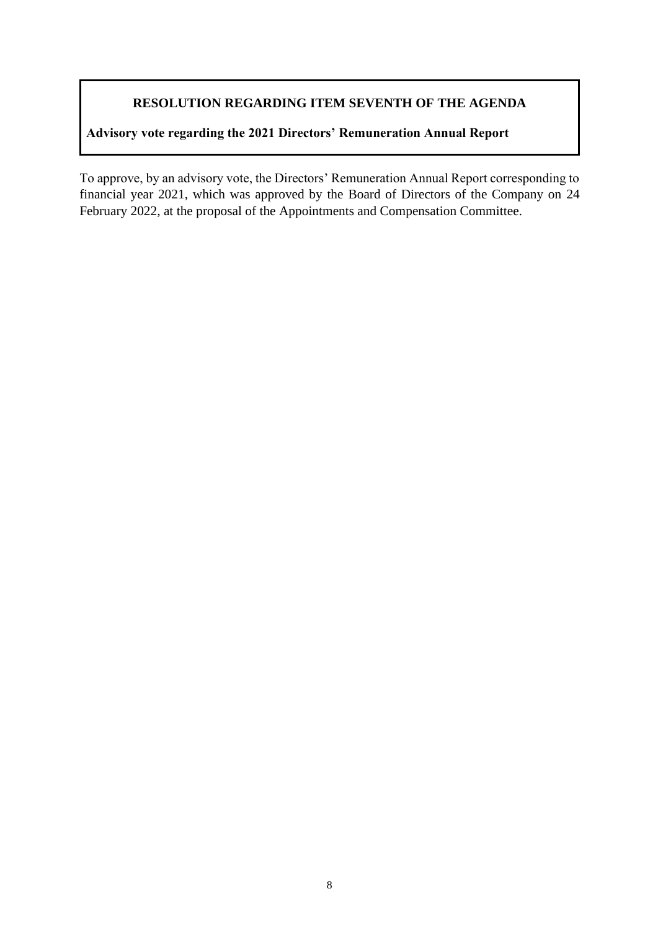## **RESOLUTION REGARDING ITEM SEVENTH OF THE AGENDA**

# **Advisory vote regarding the 2021 Directors' Remuneration Annual Report**

To approve, by an advisory vote, the Directors' Remuneration Annual Report corresponding to financial year 2021, which was approved by the Board of Directors of the Company on 24 February 2022, at the proposal of the Appointments and Compensation Committee.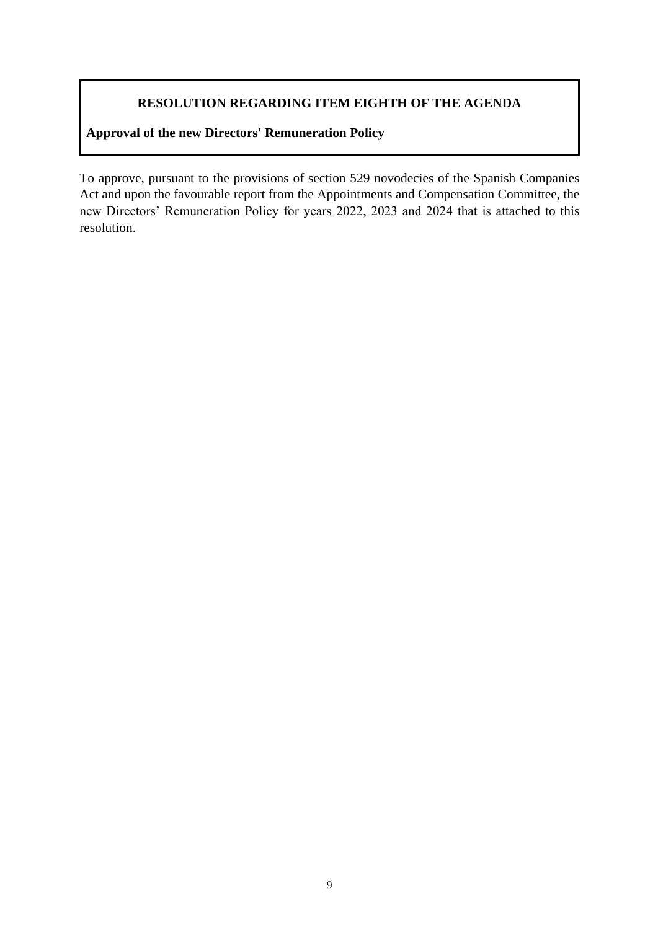## **RESOLUTION REGARDING ITEM EIGHTH OF THE AGENDA**

## **Approval of the new Directors' Remuneration Policy**

To approve, pursuant to the provisions of section 529 novodecies of the Spanish Companies Act and upon the favourable report from the Appointments and Compensation Committee, the new Directors' Remuneration Policy for years 2022, 2023 and 2024 that is attached to this resolution.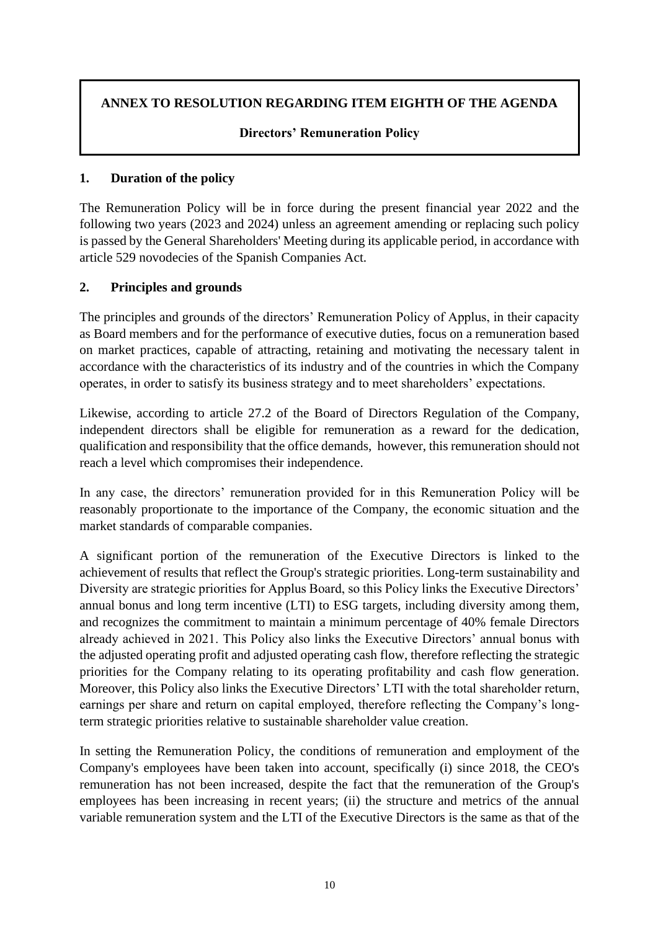# **ANNEX TO RESOLUTION REGARDING ITEM EIGHTH OF THE AGENDA**

### **Directors' Remuneration Policy**

#### **1. Duration of the policy**

The Remuneration Policy will be in force during the present financial year 2022 and the following two years (2023 and 2024) unless an agreement amending or replacing such policy is passed by the General Shareholders' Meeting during its applicable period, in accordance with article 529 novodecies of the Spanish Companies Act.

### **2. Principles and grounds**

The principles and grounds of the directors' Remuneration Policy of Applus, in their capacity as Board members and for the performance of executive duties, focus on a remuneration based on market practices, capable of attracting, retaining and motivating the necessary talent in accordance with the characteristics of its industry and of the countries in which the Company operates, in order to satisfy its business strategy and to meet shareholders' expectations.

Likewise, according to article 27.2 of the Board of Directors Regulation of the Company, independent directors shall be eligible for remuneration as a reward for the dedication, qualification and responsibility that the office demands, however, this remuneration should not reach a level which compromises their independence.

In any case, the directors' remuneration provided for in this Remuneration Policy will be reasonably proportionate to the importance of the Company, the economic situation and the market standards of comparable companies.

A significant portion of the remuneration of the Executive Directors is linked to the achievement of results that reflect the Group's strategic priorities. Long-term sustainability and Diversity are strategic priorities for Applus Board, so this Policy links the Executive Directors' annual bonus and long term incentive (LTI) to ESG targets, including diversity among them, and recognizes the commitment to maintain a minimum percentage of 40% female Directors already achieved in 2021. This Policy also links the Executive Directors' annual bonus with the adjusted operating profit and adjusted operating cash flow, therefore reflecting the strategic priorities for the Company relating to its operating profitability and cash flow generation. Moreover, this Policy also links the Executive Directors' LTI with the total shareholder return, earnings per share and return on capital employed, therefore reflecting the Company's longterm strategic priorities relative to sustainable shareholder value creation.

In setting the Remuneration Policy, the conditions of remuneration and employment of the Company's employees have been taken into account, specifically (i) since 2018, the CEO's remuneration has not been increased, despite the fact that the remuneration of the Group's employees has been increasing in recent years; (ii) the structure and metrics of the annual variable remuneration system and the LTI of the Executive Directors is the same as that of the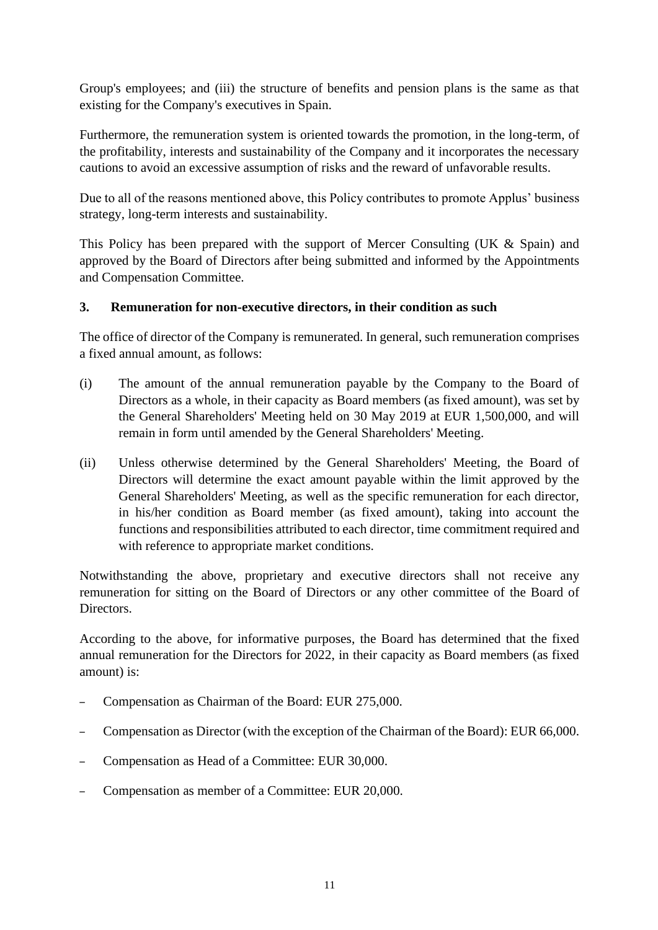Group's employees; and (iii) the structure of benefits and pension plans is the same as that existing for the Company's executives in Spain.

Furthermore, the remuneration system is oriented towards the promotion, in the long-term, of the profitability, interests and sustainability of the Company and it incorporates the necessary cautions to avoid an excessive assumption of risks and the reward of unfavorable results.

Due to all of the reasons mentioned above, this Policy contributes to promote Applus' business strategy, long-term interests and sustainability.

This Policy has been prepared with the support of Mercer Consulting (UK & Spain) and approved by the Board of Directors after being submitted and informed by the Appointments and Compensation Committee.

### **3. Remuneration for non-executive directors, in their condition as such**

The office of director of the Company is remunerated. In general, such remuneration comprises a fixed annual amount, as follows:

- (i) The amount of the annual remuneration payable by the Company to the Board of Directors as a whole, in their capacity as Board members (as fixed amount), was set by the General Shareholders' Meeting held on 30 May 2019 at EUR 1,500,000, and will remain in form until amended by the General Shareholders' Meeting.
- (ii) Unless otherwise determined by the General Shareholders' Meeting, the Board of Directors will determine the exact amount payable within the limit approved by the General Shareholders' Meeting, as well as the specific remuneration for each director, in his/her condition as Board member (as fixed amount), taking into account the functions and responsibilities attributed to each director, time commitment required and with reference to appropriate market conditions.

Notwithstanding the above, proprietary and executive directors shall not receive any remuneration for sitting on the Board of Directors or any other committee of the Board of **Directors** 

According to the above, for informative purposes, the Board has determined that the fixed annual remuneration for the Directors for 2022, in their capacity as Board members (as fixed amount) is:

- Compensation as Chairman of the Board: EUR 275,000.
- Compensation as Director (with the exception of the Chairman of the Board): EUR 66,000.
- Compensation as Head of a Committee: EUR 30,000.
- Compensation as member of a Committee: EUR 20,000.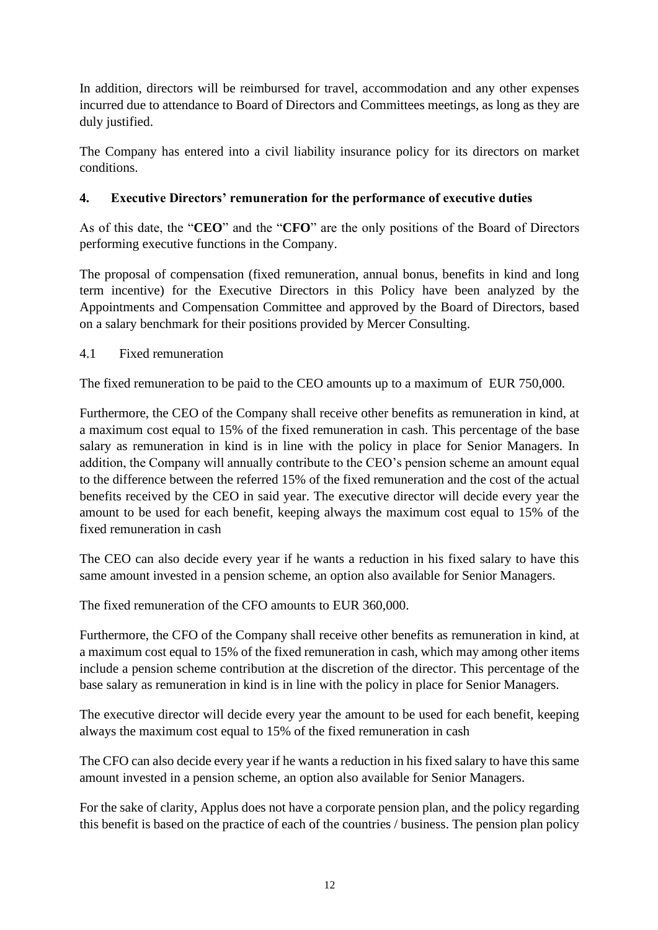In addition, directors will be reimbursed for travel, accommodation and any other expenses incurred due to attendance to Board of Directors and Committees meetings, as long as they are duly justified.

The Company has entered into a civil liability insurance policy for its directors on market conditions.

## **4. Executive Directors' remuneration for the performance of executive duties**

As of this date, the "**CEO**" and the "**CFO**" are the only positions of the Board of Directors performing executive functions in the Company.

The proposal of compensation (fixed remuneration, annual bonus, benefits in kind and long term incentive) for the Executive Directors in this Policy have been analyzed by the Appointments and Compensation Committee and approved by the Board of Directors, based on a salary benchmark for their positions provided by Mercer Consulting.

4.1 Fixed remuneration

The fixed remuneration to be paid to the CEO amounts up to a maximum of EUR 750,000.

Furthermore, the CEO of the Company shall receive other benefits as remuneration in kind, at a maximum cost equal to 15% of the fixed remuneration in cash. This percentage of the base salary as remuneration in kind is in line with the policy in place for Senior Managers. In addition, the Company will annually contribute to the CEO's pension scheme an amount equal to the difference between the referred 15% of the fixed remuneration and the cost of the actual benefits received by the CEO in said year. The executive director will decide every year the amount to be used for each benefit, keeping always the maximum cost equal to 15% of the fixed remuneration in cash

The CEO can also decide every year if he wants a reduction in his fixed salary to have this same amount invested in a pension scheme, an option also available for Senior Managers.

The fixed remuneration of the CFO amounts to EUR 360,000.

Furthermore, the CFO of the Company shall receive other benefits as remuneration in kind, at a maximum cost equal to 15% of the fixed remuneration in cash, which may among other items include a pension scheme contribution at the discretion of the director. This percentage of the base salary as remuneration in kind is in line with the policy in place for Senior Managers.

The executive director will decide every year the amount to be used for each benefit, keeping always the maximum cost equal to 15% of the fixed remuneration in cash

The CFO can also decide every year if he wants a reduction in his fixed salary to have this same amount invested in a pension scheme, an option also available for Senior Managers.

For the sake of clarity, Applus does not have a corporate pension plan, and the policy regarding this benefit is based on the practice of each of the countries / business. The pension plan policy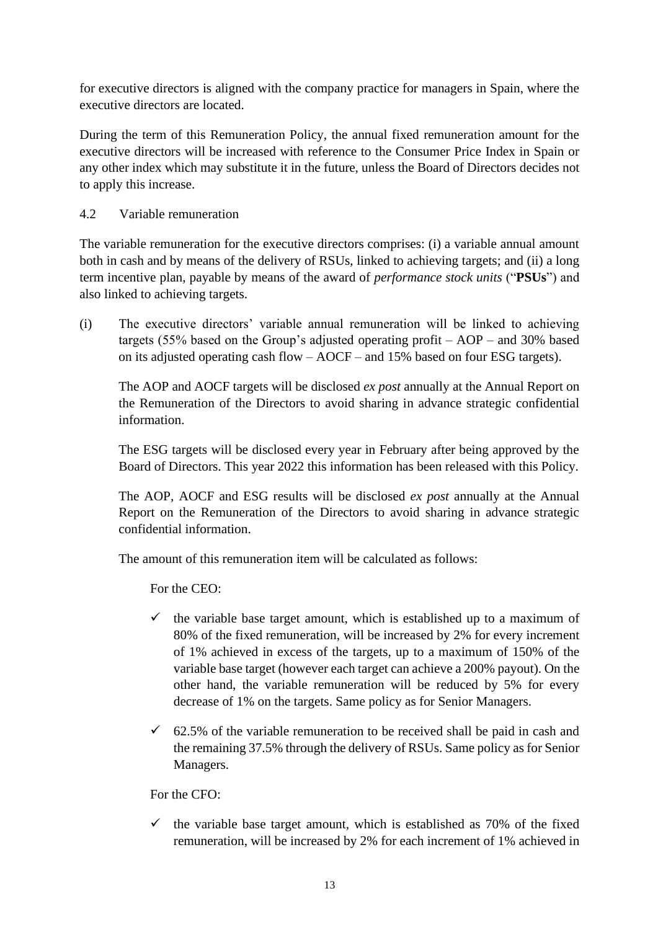for executive directors is aligned with the company practice for managers in Spain, where the executive directors are located.

During the term of this Remuneration Policy, the annual fixed remuneration amount for the executive directors will be increased with reference to the Consumer Price Index in Spain or any other index which may substitute it in the future, unless the Board of Directors decides not to apply this increase.

### 4.2 Variable remuneration

The variable remuneration for the executive directors comprises: (i) a variable annual amount both in cash and by means of the delivery of RSUs, linked to achieving targets; and (ii) a long term incentive plan, payable by means of the award of *performance stock units* ("**PSUs**") and also linked to achieving targets.

(i) The executive directors' variable annual remuneration will be linked to achieving targets (55% based on the Group's adjusted operating profit – AOP – and 30% based on its adjusted operating cash flow – AOCF – and 15% based on four ESG targets).

The AOP and AOCF targets will be disclosed *ex post* annually at the Annual Report on the Remuneration of the Directors to avoid sharing in advance strategic confidential information.

The ESG targets will be disclosed every year in February after being approved by the Board of Directors. This year 2022 this information has been released with this Policy.

The AOP, AOCF and ESG results will be disclosed *ex post* annually at the Annual Report on the Remuneration of the Directors to avoid sharing in advance strategic confidential information.

The amount of this remuneration item will be calculated as follows:

For the CEO:

- $\checkmark$  the variable base target amount, which is established up to a maximum of 80% of the fixed remuneration, will be increased by 2% for every increment of 1% achieved in excess of the targets, up to a maximum of 150% of the variable base target (however each target can achieve a 200% payout). On the other hand, the variable remuneration will be reduced by 5% for every decrease of 1% on the targets. Same policy as for Senior Managers.
- $\checkmark$  62.5% of the variable remuneration to be received shall be paid in cash and the remaining 37.5% through the delivery of RSUs. Same policy as for Senior Managers.

For the CFO:

 $\checkmark$  the variable base target amount, which is established as 70% of the fixed remuneration, will be increased by 2% for each increment of 1% achieved in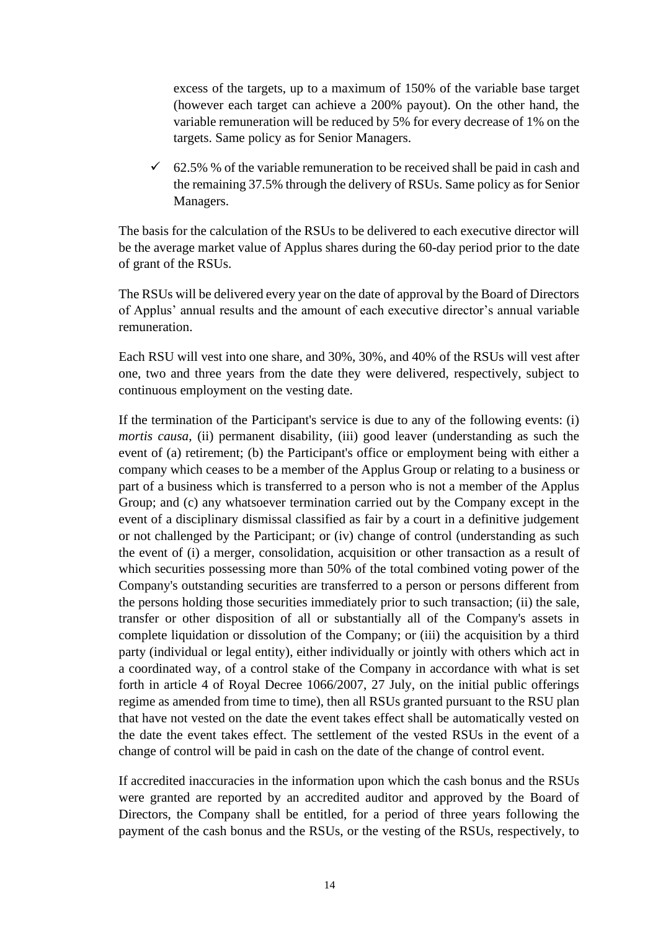excess of the targets, up to a maximum of 150% of the variable base target (however each target can achieve a 200% payout). On the other hand, the variable remuneration will be reduced by 5% for every decrease of 1% on the targets. Same policy as for Senior Managers.

 $\checkmark$  62.5% % of the variable remuneration to be received shall be paid in cash and the remaining 37.5% through the delivery of RSUs. Same policy as for Senior Managers.

The basis for the calculation of the RSUs to be delivered to each executive director will be the average market value of Applus shares during the 60-day period prior to the date of grant of the RSUs.

The RSUs will be delivered every year on the date of approval by the Board of Directors of Applus' annual results and the amount of each executive director's annual variable remuneration.

Each RSU will vest into one share, and 30%, 30%, and 40% of the RSUs will vest after one, two and three years from the date they were delivered, respectively, subject to continuous employment on the vesting date.

If the termination of the Participant's service is due to any of the following events: (i) *mortis causa*, (ii) permanent disability, (iii) good leaver (understanding as such the event of (a) retirement; (b) the Participant's office or employment being with either a company which ceases to be a member of the Applus Group or relating to a business or part of a business which is transferred to a person who is not a member of the Applus Group; and (c) any whatsoever termination carried out by the Company except in the event of a disciplinary dismissal classified as fair by a court in a definitive judgement or not challenged by the Participant; or (iv) change of control (understanding as such the event of (i) a merger, consolidation, acquisition or other transaction as a result of which securities possessing more than 50% of the total combined voting power of the Company's outstanding securities are transferred to a person or persons different from the persons holding those securities immediately prior to such transaction; (ii) the sale, transfer or other disposition of all or substantially all of the Company's assets in complete liquidation or dissolution of the Company; or (iii) the acquisition by a third party (individual or legal entity), either individually or jointly with others which act in a coordinated way, of a control stake of the Company in accordance with what is set forth in article 4 of Royal Decree 1066/2007, 27 July, on the initial public offerings regime as amended from time to time), then all RSUs granted pursuant to the RSU plan that have not vested on the date the event takes effect shall be automatically vested on the date the event takes effect. The settlement of the vested RSUs in the event of a change of control will be paid in cash on the date of the change of control event.

If accredited inaccuracies in the information upon which the cash bonus and the RSUs were granted are reported by an accredited auditor and approved by the Board of Directors, the Company shall be entitled, for a period of three years following the payment of the cash bonus and the RSUs, or the vesting of the RSUs, respectively, to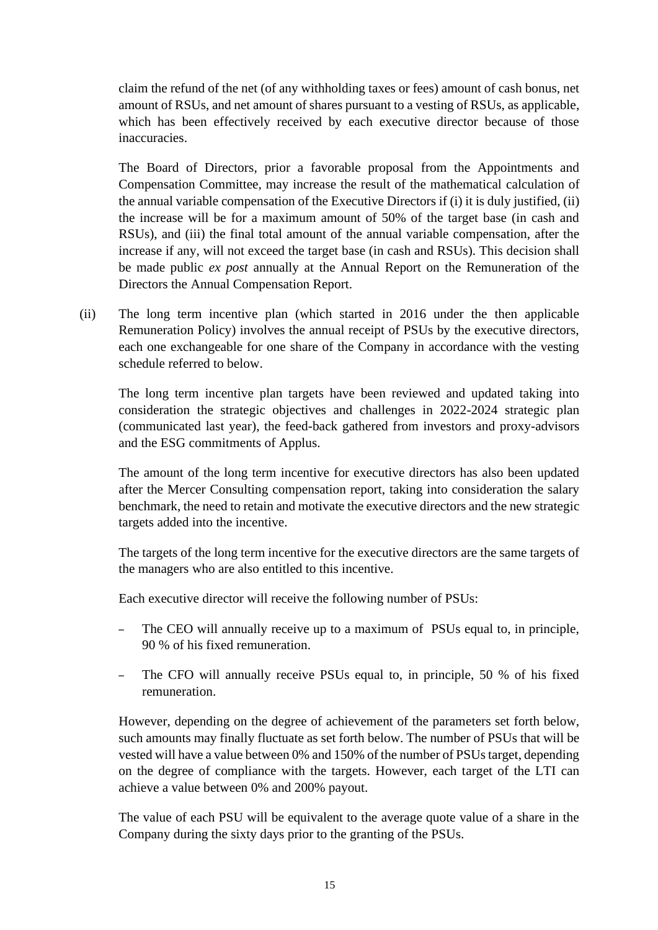claim the refund of the net (of any withholding taxes or fees) amount of cash bonus, net amount of RSUs, and net amount of shares pursuant to a vesting of RSUs, as applicable, which has been effectively received by each executive director because of those inaccuracies.

The Board of Directors, prior a favorable proposal from the Appointments and Compensation Committee, may increase the result of the mathematical calculation of the annual variable compensation of the Executive Directors if (i) it is duly justified, (ii) the increase will be for a maximum amount of 50% of the target base (in cash and RSUs), and (iii) the final total amount of the annual variable compensation, after the increase if any, will not exceed the target base (in cash and RSUs). This decision shall be made public *ex post* annually at the Annual Report on the Remuneration of the Directors the Annual Compensation Report.

(ii) The long term incentive plan (which started in 2016 under the then applicable Remuneration Policy) involves the annual receipt of PSUs by the executive directors, each one exchangeable for one share of the Company in accordance with the vesting schedule referred to below.

The long term incentive plan targets have been reviewed and updated taking into consideration the strategic objectives and challenges in 2022-2024 strategic plan (communicated last year), the feed-back gathered from investors and proxy-advisors and the ESG commitments of Applus.

The amount of the long term incentive for executive directors has also been updated after the Mercer Consulting compensation report, taking into consideration the salary benchmark, the need to retain and motivate the executive directors and the new strategic targets added into the incentive.

The targets of the long term incentive for the executive directors are the same targets of the managers who are also entitled to this incentive.

Each executive director will receive the following number of PSUs:

- The CEO will annually receive up to a maximum of PSUs equal to, in principle, 90 % of his fixed remuneration.
- The CFO will annually receive PSUs equal to, in principle, 50 % of his fixed remuneration.

However, depending on the degree of achievement of the parameters set forth below, such amounts may finally fluctuate as set forth below. The number of PSUs that will be vested will have a value between 0% and 150% of the number of PSUs target, depending on the degree of compliance with the targets. However, each target of the LTI can achieve a value between 0% and 200% payout.

The value of each PSU will be equivalent to the average quote value of a share in the Company during the sixty days prior to the granting of the PSUs.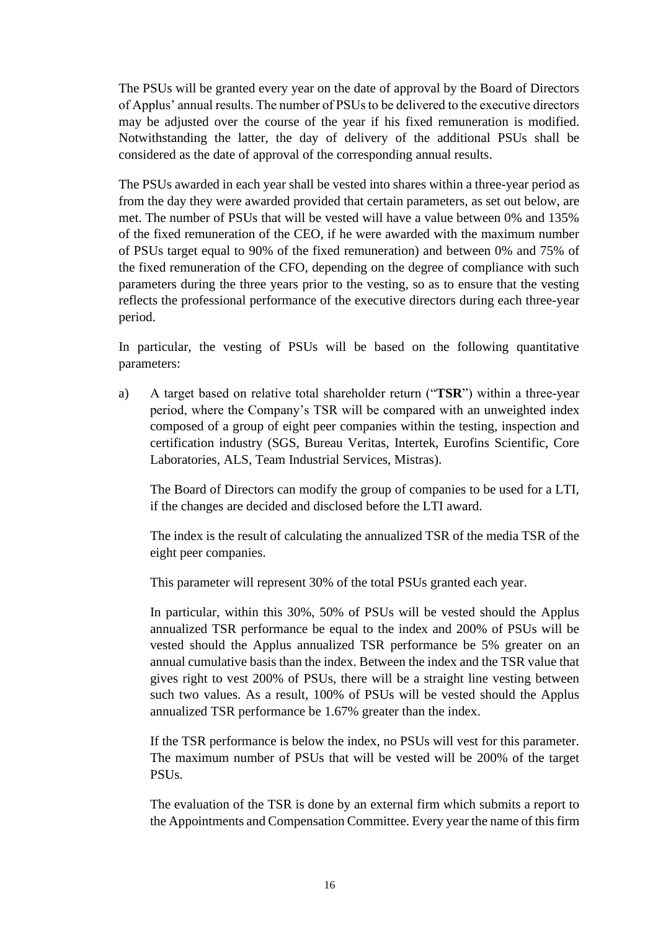The PSUs will be granted every year on the date of approval by the Board of Directors of Applus' annual results. The number of PSUs to be delivered to the executive directors may be adjusted over the course of the year if his fixed remuneration is modified. Notwithstanding the latter, the day of delivery of the additional PSUs shall be considered as the date of approval of the corresponding annual results.

The PSUs awarded in each year shall be vested into shares within a three-year period as from the day they were awarded provided that certain parameters, as set out below, are met. The number of PSUs that will be vested will have a value between 0% and 135% of the fixed remuneration of the CEO, if he were awarded with the maximum number of PSUs target equal to 90% of the fixed remuneration) and between 0% and 75% of the fixed remuneration of the CFO, depending on the degree of compliance with such parameters during the three years prior to the vesting, so as to ensure that the vesting reflects the professional performance of the executive directors during each three-year period.

In particular, the vesting of PSUs will be based on the following quantitative parameters:

a) A target based on relative total shareholder return ("**TSR**") within a three-year period, where the Company's TSR will be compared with an unweighted index composed of a group of eight peer companies within the testing, inspection and certification industry (SGS, Bureau Veritas, Intertek, Eurofins Scientific, Core Laboratories, ALS, Team Industrial Services, Mistras).

The Board of Directors can modify the group of companies to be used for a LTI, if the changes are decided and disclosed before the LTI award.

The index is the result of calculating the annualized TSR of the media TSR of the eight peer companies.

This parameter will represent 30% of the total PSUs granted each year.

In particular, within this 30%, 50% of PSUs will be vested should the Applus annualized TSR performance be equal to the index and 200% of PSUs will be vested should the Applus annualized TSR performance be 5% greater on an annual cumulative basis than the index. Between the index and the TSR value that gives right to vest 200% of PSUs, there will be a straight line vesting between such two values. As a result, 100% of PSUs will be vested should the Applus annualized TSR performance be 1.67% greater than the index.

If the TSR performance is below the index, no PSUs will vest for this parameter. The maximum number of PSUs that will be vested will be 200% of the target PSUs.

The evaluation of the TSR is done by an external firm which submits a report to the Appointments and Compensation Committee. Every year the name of this firm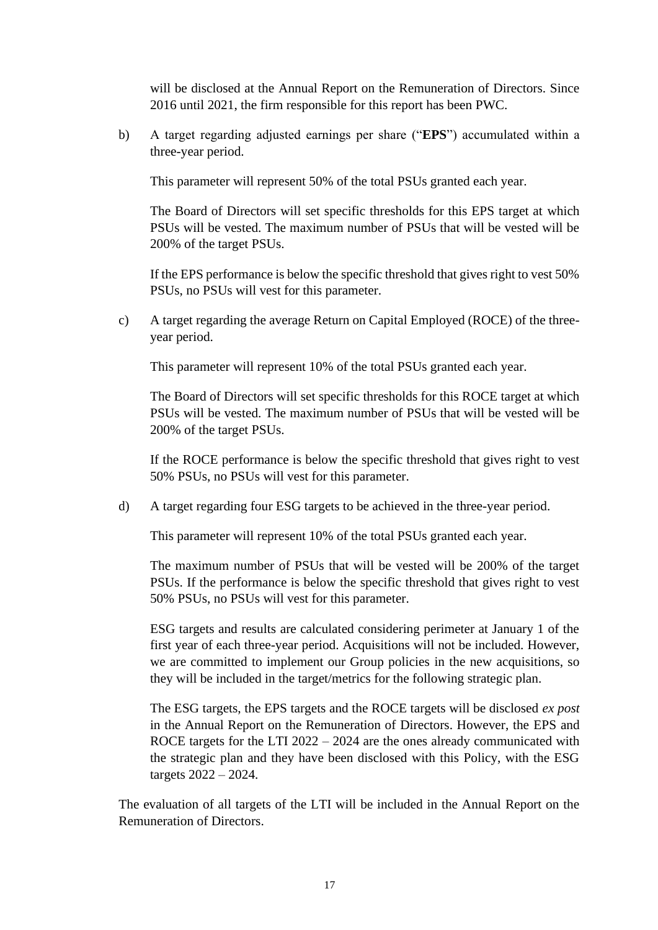will be disclosed at the Annual Report on the Remuneration of Directors. Since 2016 until 2021, the firm responsible for this report has been PWC.

b) A target regarding adjusted earnings per share ("**EPS**") accumulated within a three-year period.

This parameter will represent 50% of the total PSUs granted each year.

The Board of Directors will set specific thresholds for this EPS target at which PSUs will be vested. The maximum number of PSUs that will be vested will be 200% of the target PSUs.

If the EPS performance is below the specific threshold that gives right to vest 50% PSUs, no PSUs will vest for this parameter.

c) A target regarding the average Return on Capital Employed (ROCE) of the threeyear period.

This parameter will represent 10% of the total PSUs granted each year.

The Board of Directors will set specific thresholds for this ROCE target at which PSUs will be vested. The maximum number of PSUs that will be vested will be 200% of the target PSUs.

If the ROCE performance is below the specific threshold that gives right to vest 50% PSUs, no PSUs will vest for this parameter.

d) A target regarding four ESG targets to be achieved in the three-year period.

This parameter will represent 10% of the total PSUs granted each year.

The maximum number of PSUs that will be vested will be 200% of the target PSUs. If the performance is below the specific threshold that gives right to vest 50% PSUs, no PSUs will vest for this parameter.

ESG targets and results are calculated considering perimeter at January 1 of the first year of each three-year period. Acquisitions will not be included. However, we are committed to implement our Group policies in the new acquisitions, so they will be included in the target/metrics for the following strategic plan.

The ESG targets, the EPS targets and the ROCE targets will be disclosed *ex post* in the Annual Report on the Remuneration of Directors. However, the EPS and ROCE targets for the LTI 2022 – 2024 are the ones already communicated with the strategic plan and they have been disclosed with this Policy, with the ESG targets 2022 – 2024.

The evaluation of all targets of the LTI will be included in the Annual Report on the Remuneration of Directors.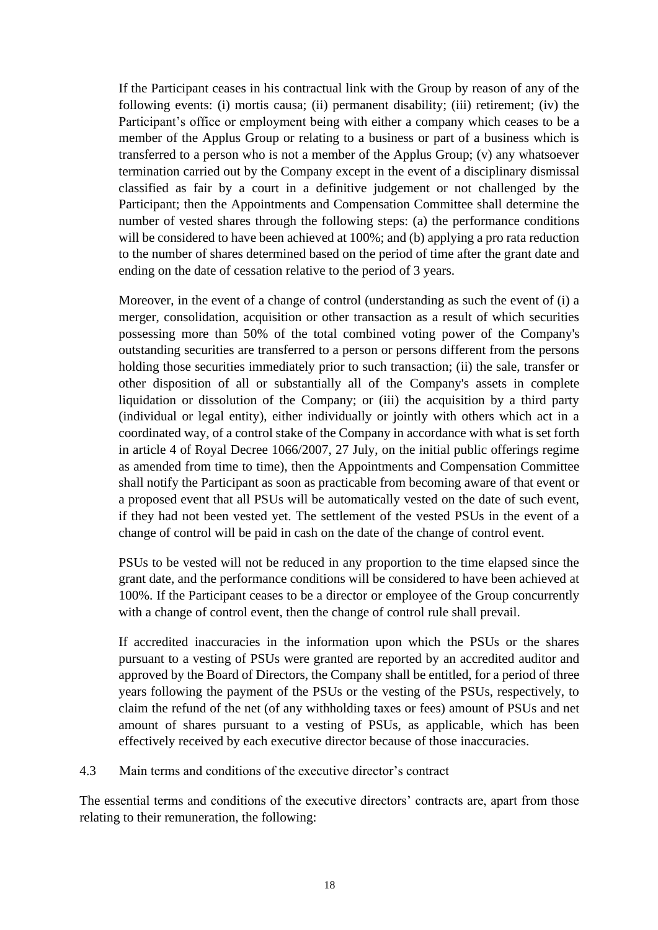If the Participant ceases in his contractual link with the Group by reason of any of the following events: (i) mortis causa; (ii) permanent disability; (iii) retirement; (iv) the Participant's office or employment being with either a company which ceases to be a member of the Applus Group or relating to a business or part of a business which is transferred to a person who is not a member of the Applus Group; (v) any whatsoever termination carried out by the Company except in the event of a disciplinary dismissal classified as fair by a court in a definitive judgement or not challenged by the Participant; then the Appointments and Compensation Committee shall determine the number of vested shares through the following steps: (a) the performance conditions will be considered to have been achieved at 100%; and (b) applying a pro rata reduction to the number of shares determined based on the period of time after the grant date and ending on the date of cessation relative to the period of 3 years.

Moreover, in the event of a change of control (understanding as such the event of (i) a merger, consolidation, acquisition or other transaction as a result of which securities possessing more than 50% of the total combined voting power of the Company's outstanding securities are transferred to a person or persons different from the persons holding those securities immediately prior to such transaction; (ii) the sale, transfer or other disposition of all or substantially all of the Company's assets in complete liquidation or dissolution of the Company; or (iii) the acquisition by a third party (individual or legal entity), either individually or jointly with others which act in a coordinated way, of a control stake of the Company in accordance with what is set forth in article 4 of Royal Decree 1066/2007, 27 July, on the initial public offerings regime as amended from time to time), then the Appointments and Compensation Committee shall notify the Participant as soon as practicable from becoming aware of that event or a proposed event that all PSUs will be automatically vested on the date of such event, if they had not been vested yet. The settlement of the vested PSUs in the event of a change of control will be paid in cash on the date of the change of control event.

PSUs to be vested will not be reduced in any proportion to the time elapsed since the grant date, and the performance conditions will be considered to have been achieved at 100%. If the Participant ceases to be a director or employee of the Group concurrently with a change of control event, then the change of control rule shall prevail.

If accredited inaccuracies in the information upon which the PSUs or the shares pursuant to a vesting of PSUs were granted are reported by an accredited auditor and approved by the Board of Directors, the Company shall be entitled, for a period of three years following the payment of the PSUs or the vesting of the PSUs, respectively, to claim the refund of the net (of any withholding taxes or fees) amount of PSUs and net amount of shares pursuant to a vesting of PSUs, as applicable, which has been effectively received by each executive director because of those inaccuracies.

#### 4.3 Main terms and conditions of the executive director's contract

The essential terms and conditions of the executive directors' contracts are, apart from those relating to their remuneration, the following: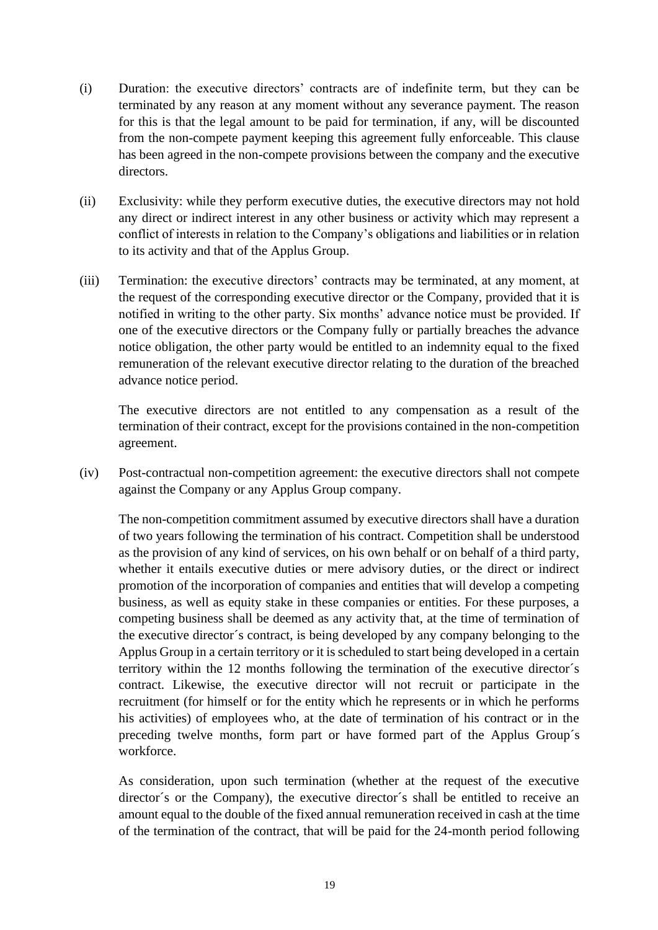- (i) Duration: the executive directors' contracts are of indefinite term, but they can be terminated by any reason at any moment without any severance payment. The reason for this is that the legal amount to be paid for termination, if any, will be discounted from the non-compete payment keeping this agreement fully enforceable. This clause has been agreed in the non-compete provisions between the company and the executive directors.
- (ii) Exclusivity: while they perform executive duties, the executive directors may not hold any direct or indirect interest in any other business or activity which may represent a conflict of interests in relation to the Company's obligations and liabilities or in relation to its activity and that of the Applus Group.
- (iii) Termination: the executive directors' contracts may be terminated, at any moment, at the request of the corresponding executive director or the Company, provided that it is notified in writing to the other party. Six months' advance notice must be provided. If one of the executive directors or the Company fully or partially breaches the advance notice obligation, the other party would be entitled to an indemnity equal to the fixed remuneration of the relevant executive director relating to the duration of the breached advance notice period.

The executive directors are not entitled to any compensation as a result of the termination of their contract, except for the provisions contained in the non-competition agreement.

(iv) Post-contractual non-competition agreement: the executive directors shall not compete against the Company or any Applus Group company.

The non-competition commitment assumed by executive directors shall have a duration of two years following the termination of his contract. Competition shall be understood as the provision of any kind of services, on his own behalf or on behalf of a third party, whether it entails executive duties or mere advisory duties, or the direct or indirect promotion of the incorporation of companies and entities that will develop a competing business, as well as equity stake in these companies or entities. For these purposes, a competing business shall be deemed as any activity that, at the time of termination of the executive director´s contract, is being developed by any company belonging to the Applus Group in a certain territory or it is scheduled to start being developed in a certain territory within the 12 months following the termination of the executive director´s contract. Likewise, the executive director will not recruit or participate in the recruitment (for himself or for the entity which he represents or in which he performs his activities) of employees who, at the date of termination of his contract or in the preceding twelve months, form part or have formed part of the Applus Group´s workforce.

As consideration, upon such termination (whether at the request of the executive director´s or the Company), the executive director´s shall be entitled to receive an amount equal to the double of the fixed annual remuneration received in cash at the time of the termination of the contract, that will be paid for the 24-month period following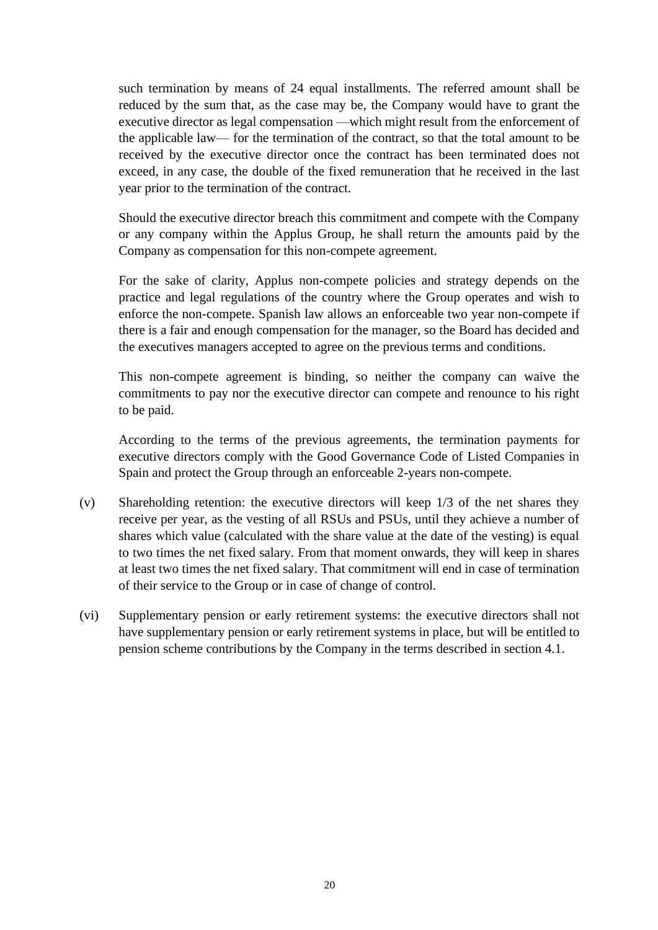such termination by means of 24 equal installments. The referred amount shall be reduced by the sum that, as the case may be, the Company would have to grant the executive director as legal compensation —which might result from the enforcement of the applicable law— for the termination of the contract, so that the total amount to be received by the executive director once the contract has been terminated does not exceed, in any case, the double of the fixed remuneration that he received in the last year prior to the termination of the contract.

Should the executive director breach this commitment and compete with the Company or any company within the Applus Group, he shall return the amounts paid by the Company as compensation for this non-compete agreement.

For the sake of clarity, Applus non-compete policies and strategy depends on the practice and legal regulations of the country where the Group operates and wish to enforce the non-compete. Spanish law allows an enforceable two year non-compete if there is a fair and enough compensation for the manager, so the Board has decided and the executives managers accepted to agree on the previous terms and conditions.

This non-compete agreement is binding, so neither the company can waive the commitments to pay nor the executive director can compete and renounce to his right to be paid.

According to the terms of the previous agreements, the termination payments for executive directors comply with the Good Governance Code of Listed Companies in Spain and protect the Group through an enforceable 2-years non-compete.

- (v) Shareholding retention: the executive directors will keep 1/3 of the net shares they receive per year, as the vesting of all RSUs and PSUs, until they achieve a number of shares which value (calculated with the share value at the date of the vesting) is equal to two times the net fixed salary. From that moment onwards, they will keep in shares at least two times the net fixed salary. That commitment will end in case of termination of their service to the Group or in case of change of control.
- (vi) Supplementary pension or early retirement systems: the executive directors shall not have supplementary pension or early retirement systems in place, but will be entitled to pension scheme contributions by the Company in the terms described in section 4.1.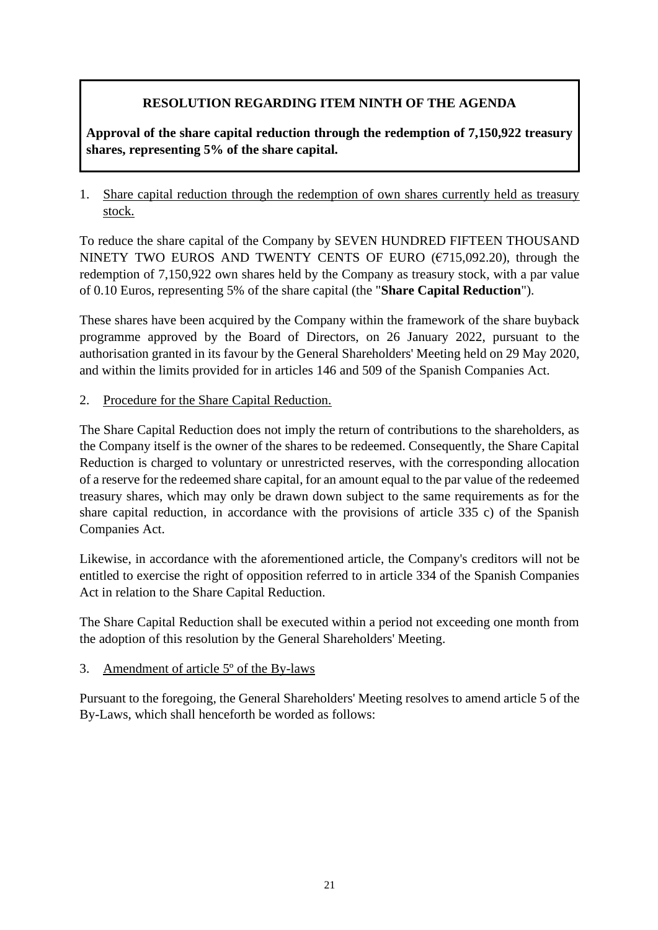# **RESOLUTION REGARDING ITEM NINTH OF THE AGENDA**

**Approval of the share capital reduction through the redemption of 7,150,922 treasury shares, representing 5% of the share capital.**

1. Share capital reduction through the redemption of own shares currently held as treasury stock.

To reduce the share capital of the Company by SEVEN HUNDRED FIFTEEN THOUSAND NINETY TWO EUROS AND TWENTY CENTS OF EURO ( $\epsilon$ 715,092.20), through the redemption of 7,150,922 own shares held by the Company as treasury stock, with a par value of 0.10 Euros, representing 5% of the share capital (the "**Share Capital Reduction**").

These shares have been acquired by the Company within the framework of the share buyback programme approved by the Board of Directors, on 26 January 2022, pursuant to the authorisation granted in its favour by the General Shareholders' Meeting held on 29 May 2020, and within the limits provided for in articles 146 and 509 of the Spanish Companies Act.

2. Procedure for the Share Capital Reduction.

The Share Capital Reduction does not imply the return of contributions to the shareholders, as the Company itself is the owner of the shares to be redeemed. Consequently, the Share Capital Reduction is charged to voluntary or unrestricted reserves, with the corresponding allocation of a reserve for the redeemed share capital, for an amount equal to the par value of the redeemed treasury shares, which may only be drawn down subject to the same requirements as for the share capital reduction, in accordance with the provisions of article 335 c) of the Spanish Companies Act.

Likewise, in accordance with the aforementioned article, the Company's creditors will not be entitled to exercise the right of opposition referred to in article 334 of the Spanish Companies Act in relation to the Share Capital Reduction.

The Share Capital Reduction shall be executed within a period not exceeding one month from the adoption of this resolution by the General Shareholders' Meeting.

### 3. Amendment of article 5º of the By-laws

Pursuant to the foregoing, the General Shareholders' Meeting resolves to amend article 5 of the By-Laws, which shall henceforth be worded as follows: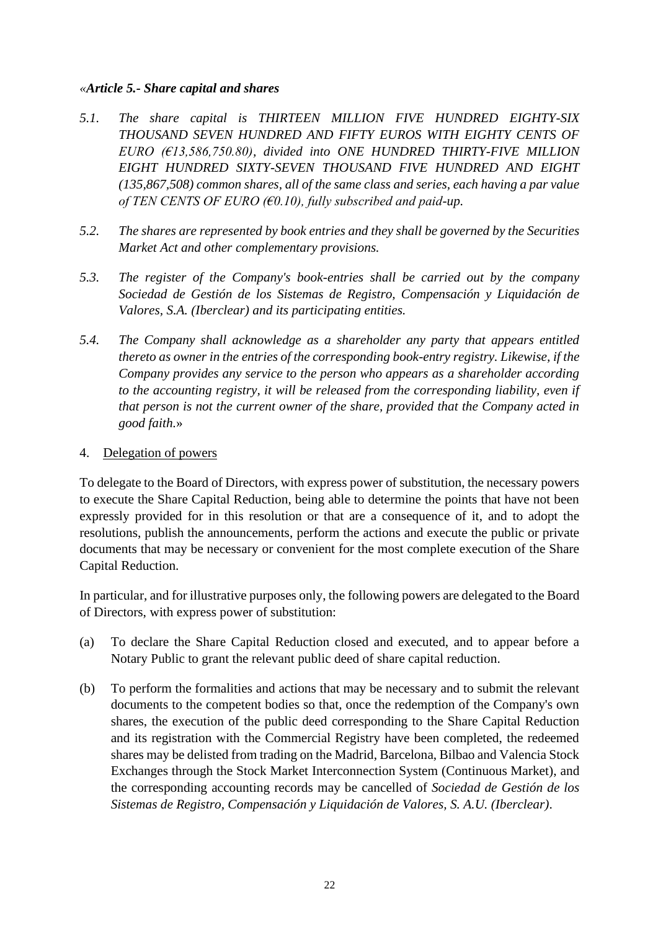#### *«Article 5.- Share capital and shares*

- *5.1. The share capital is THIRTEEN MILLION FIVE HUNDRED EIGHTY-SIX THOUSAND SEVEN HUNDRED AND FIFTY EUROS WITH EIGHTY CENTS OF EURO (€13,586,750.80), divided into ONE HUNDRED THIRTY-FIVE MILLION EIGHT HUNDRED SIXTY-SEVEN THOUSAND FIVE HUNDRED AND EIGHT (135,867,508) common shares, all of the same class and series, each having a par value of TEN CENTS OF EURO (€0.10), fully subscribed and paid-up.*
- *5.2. The shares are represented by book entries and they shall be governed by the Securities Market Act and other complementary provisions.*
- *5.3. The register of the Company's book-entries shall be carried out by the company Sociedad de Gestión de los Sistemas de Registro, Compensación y Liquidación de Valores, S.A. (Iberclear) and its participating entities.*
- *5.4. The Company shall acknowledge as a shareholder any party that appears entitled thereto as owner in the entries of the corresponding book-entry registry. Likewise, if the Company provides any service to the person who appears as a shareholder according to the accounting registry, it will be released from the corresponding liability, even if that person is not the current owner of the share, provided that the Company acted in good faith.*»

#### 4. Delegation of powers

To delegate to the Board of Directors, with express power of substitution, the necessary powers to execute the Share Capital Reduction, being able to determine the points that have not been expressly provided for in this resolution or that are a consequence of it, and to adopt the resolutions, publish the announcements, perform the actions and execute the public or private documents that may be necessary or convenient for the most complete execution of the Share Capital Reduction.

In particular, and for illustrative purposes only, the following powers are delegated to the Board of Directors, with express power of substitution:

- (a) To declare the Share Capital Reduction closed and executed, and to appear before a Notary Public to grant the relevant public deed of share capital reduction.
- (b) To perform the formalities and actions that may be necessary and to submit the relevant documents to the competent bodies so that, once the redemption of the Company's own shares, the execution of the public deed corresponding to the Share Capital Reduction and its registration with the Commercial Registry have been completed, the redeemed shares may be delisted from trading on the Madrid, Barcelona, Bilbao and Valencia Stock Exchanges through the Stock Market Interconnection System (Continuous Market), and the corresponding accounting records may be cancelled of *Sociedad de Gestión de los Sistemas de Registro, Compensación y Liquidación de Valores, S. A.U. (Iberclear)*.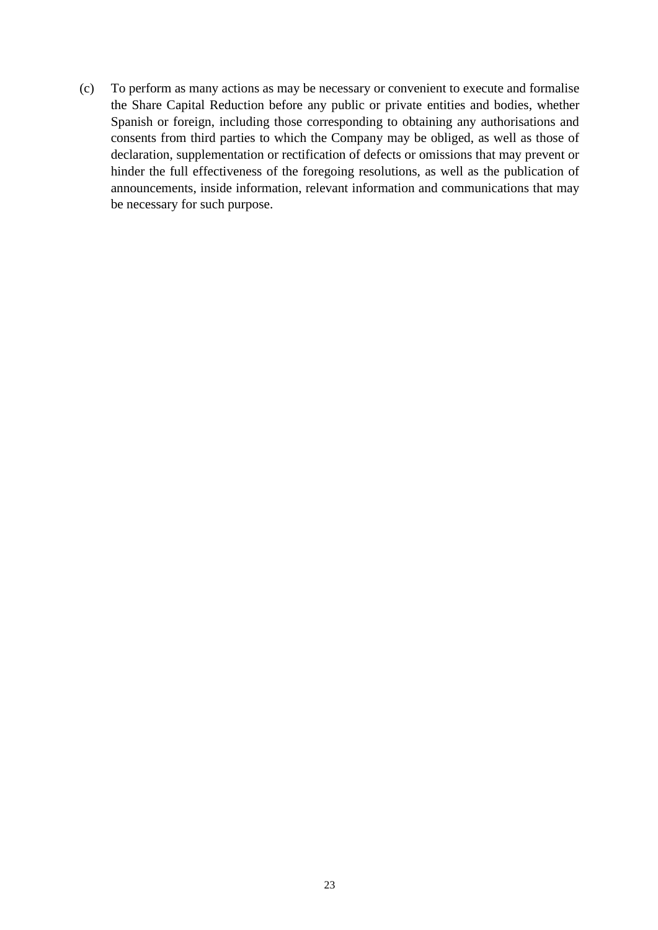(c) To perform as many actions as may be necessary or convenient to execute and formalise the Share Capital Reduction before any public or private entities and bodies, whether Spanish or foreign, including those corresponding to obtaining any authorisations and consents from third parties to which the Company may be obliged, as well as those of declaration, supplementation or rectification of defects or omissions that may prevent or hinder the full effectiveness of the foregoing resolutions, as well as the publication of announcements, inside information, relevant information and communications that may be necessary for such purpose.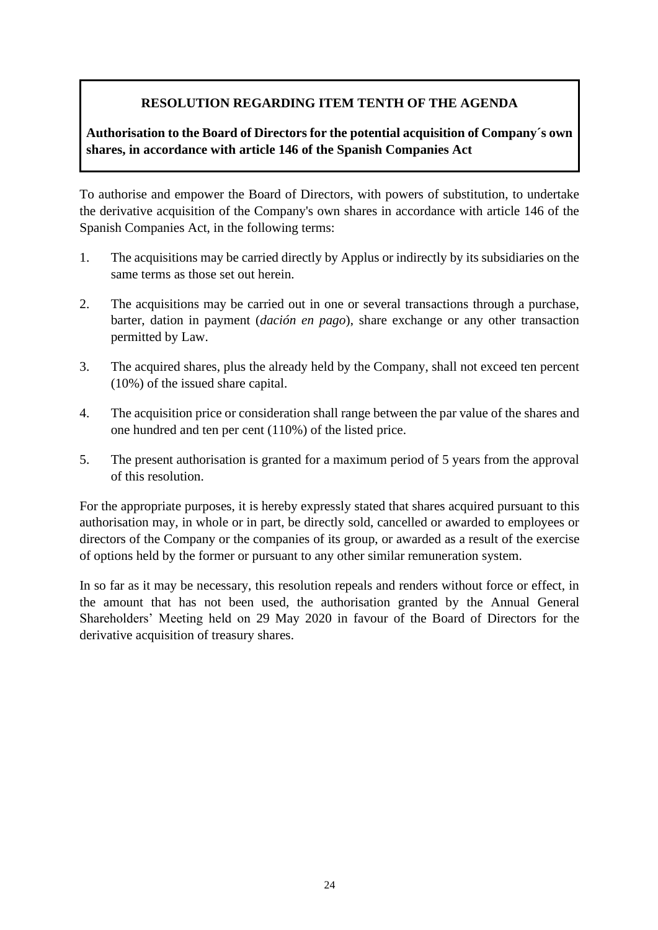## **RESOLUTION REGARDING ITEM TENTH OF THE AGENDA**

## **Authorisation to the Board of Directors for the potential acquisition of Company´s own shares, in accordance with article 146 of the Spanish Companies Act**

To authorise and empower the Board of Directors, with powers of substitution, to undertake the derivative acquisition of the Company's own shares in accordance with article 146 of the Spanish Companies Act, in the following terms:

- 1. The acquisitions may be carried directly by Applus or indirectly by its subsidiaries on the same terms as those set out herein.
- 2. The acquisitions may be carried out in one or several transactions through a purchase, barter, dation in payment (*dación en pago*), share exchange or any other transaction permitted by Law.
- 3. The acquired shares, plus the already held by the Company, shall not exceed ten percent (10%) of the issued share capital.
- 4. The acquisition price or consideration shall range between the par value of the shares and one hundred and ten per cent (110%) of the listed price.
- 5. The present authorisation is granted for a maximum period of 5 years from the approval of this resolution.

For the appropriate purposes, it is hereby expressly stated that shares acquired pursuant to this authorisation may, in whole or in part, be directly sold, cancelled or awarded to employees or directors of the Company or the companies of its group, or awarded as a result of the exercise of options held by the former or pursuant to any other similar remuneration system.

In so far as it may be necessary, this resolution repeals and renders without force or effect, in the amount that has not been used, the authorisation granted by the Annual General Shareholders' Meeting held on 29 May 2020 in favour of the Board of Directors for the derivative acquisition of treasury shares.